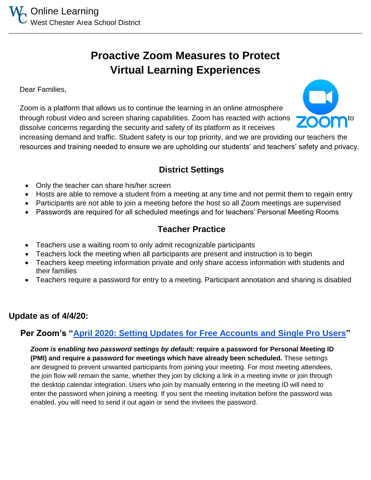# **Proactive Zoom Measures to Protect Virtual Learning Experiences**

Dear Families,

Zoom is a platform that allows us to continue the learning in an online atmosphere through robust video and screen sharing capabilities. Zoom has reacted with actions dissolve concerns regarding the security and safety of its platform as it receives

increasing demand and traffic. Student safety is our top priority, and we are providing our teachers the resources and training needed to ensure we are upholding our students' and teachers' safety and privacy.

## **District Settings**

- Only the teacher can share his/her screen
- Hosts are able to remove a student from a meeting at any time and not permit them to regain entry
- Participants are not able to join a meeting before the host so all Zoom meetings are supervised
- Passwords are required for all scheduled meetings and for teachers' Personal Meeting Rooms

### **Teacher Practice**

- Teachers use a waiting room to only admit recognizable participants
- Teachers lock the meeting when all participants are present and instruction is to begin
- Teachers keep meeting information private and only share access information with students and their families
- Teachers require a password for entry to a meeting. Participant annotation and sharing is disabled

#### **Update as of 4/4/20:**

#### **Per Zoom's ["April 2020: Setting Updates for Free Accounts and Single Pro Users"](https://support.zoom.us/hc/en-us/articles/360041408732-April-2020-Setting-updates-for-free-accounts-and-single-Pro-users)**

*Zoom is enabling two password settings by default:* **require a password for Personal Meeting ID (PMI) and require a password for meetings which have already been scheduled.** These settings are designed to prevent unwanted participants from joining your meeting. For most meeting attendees, the join flow will remain the same, whether they join by clicking a link in a meeting invite or join through the desktop calendar integration. Users who join by manually entering in the meeting ID will need to enter the password when joining a meeting. If you sent the meeting invitation before the password was enabled, you will need to send it out again or send the invitees the password.